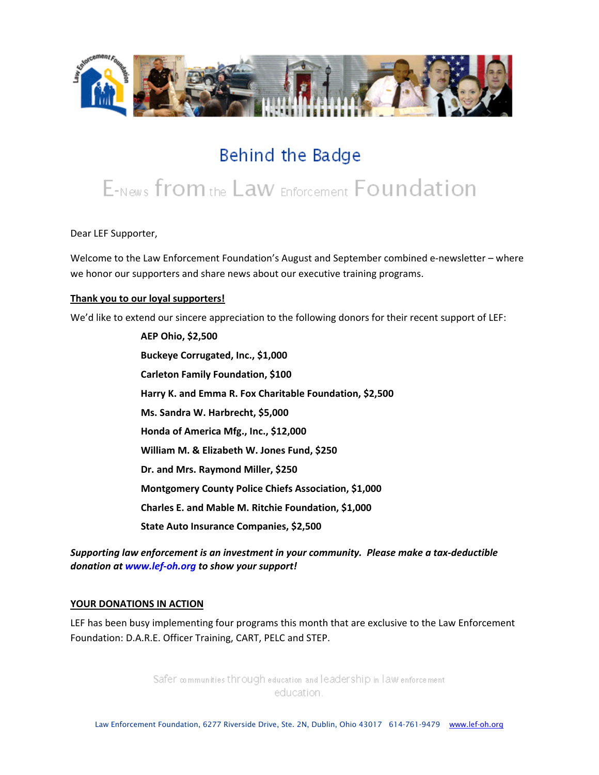

## Behind the Badge

# E-News from the Law Enforcement Foundation

Dear LEF Supporter,

Welcome to the Law Enforcement Foundation's August and September combined e-newsletter – where we honor our supporters and share news about our executive training programs.

#### **Thank you to our loyal supporters!**

We'd like to extend our sincere appreciation to the following donors for their recent support of LEF:

**AEP Ohio, \$2,500 Buckeye Corrugated, Inc., \$1,000 Carleton Family Foundation, \$100 Harry K. and Emma R. Fox Charitable Foundation, \$2,500 Ms. Sandra W. Harbrecht, \$5,000 Honda of America Mfg., Inc., \$12,000 William M. & Elizabeth W. Jones Fund, \$250 Dr. and Mrs. Raymond Miller, \$250 Montgomery County Police Chiefs Association, \$1,000 Charles E. and Mable M. Ritchie Foundation, \$1,000 State Auto Insurance Companies, \$2,500**

*Supporting law enforcement is an investment in your community. Please make a tax‐deductible donation at [www.lef](http://www.lef-oh.org/)‐oh.org to show your support!*

#### **YOUR DONATIONS IN ACTION**

LEF has been busy implementing four programs this month that are exclusive to the Law Enforcement Foundation: D.A.R.E. Officer Training, CART, PELC and STEP.

> Safer communities through education and leadership in law enforcement education.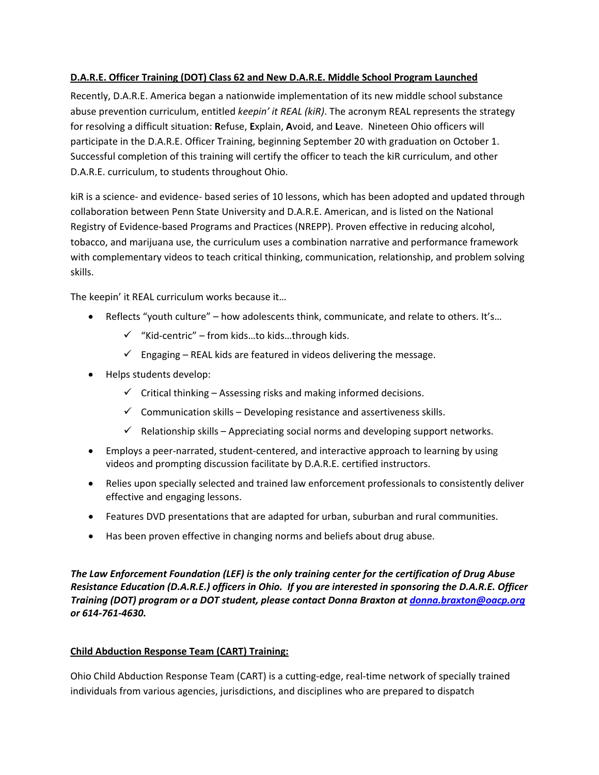## **D.A.R.E. Officer Training (DOT) Class 62 and New D.A.R.E. Middle School Program Launched**

Recently, D.A.R.E. America began a nationwide implementation of its new middle school substance abuse prevention curriculum, entitled *keepin' it REAL (kiR)*. The acronym REAL represents the strategy for resolving a difficult situation: **R**efuse, **E**xplain, **A**void, and **L**eave. Nineteen Ohio officers will participate in the D.A.R.E. Officer Training, beginning September 20 with graduation on October 1. Successful completion of this training will certify the officer to teach the kiR curriculum, and other D.A.R.E. curriculum, to students throughout Ohio.

kiR is a science‐ and evidence‐ based series of 10 lessons, which has been adopted and updated through collaboration between Penn State University and D.A.R.E. American, and is listed on the National Registry of Evidence‐based Programs and Practices (NREPP). Proven effective in reducing alcohol, tobacco, and marijuana use, the curriculum uses a combination narrative and performance framework with complementary videos to teach critical thinking, communication, relationship, and problem solving skills.

The keepin' it REAL curriculum works because it…

- Reflects "youth culture" how adolescents think, communicate, and relate to others. It's...
	- $\checkmark$  "Kid-centric" from kids...to kids...through kids.
	- $\checkmark$  Engaging REAL kids are featured in videos delivering the message.
- Helps students develop:
	- $\checkmark$  Critical thinking Assessing risks and making informed decisions.
	- $\checkmark$  Communication skills Developing resistance and assertiveness skills.
	- $\checkmark$  Relationship skills Appreciating social norms and developing support networks.
- Employs a peer-narrated, student-centered, and interactive approach to learning by using videos and prompting discussion facilitate by D.A.R.E. certified instructors.
- Relies upon specially selected and trained law enforcement professionals to consistently deliver effective and engaging lessons.
- Features DVD presentations that are adapted for urban, suburban and rural communities.
- Has been proven effective in changing norms and beliefs about drug abuse.

*The Law Enforcement Foundation (LEF) is the only training center for the certification of Drug Abuse Resistance Education (D.A.R.E.) officers in Ohio. If you are interested in sponsoring the D.A.R.E. Officer Training (DOT) program or a DOT student, please contact Donna Braxton at [donna.braxton@oacp.org](mailto:donna.braxton@oacp.org) or 614‐761‐4630.*

## **Child Abduction Response Team (CART) Training:**

Ohio Child Abduction Response Team (CART) is a cutting‐edge, real‐time network of specially trained individuals from various agencies, jurisdictions, and disciplines who are prepared to dispatch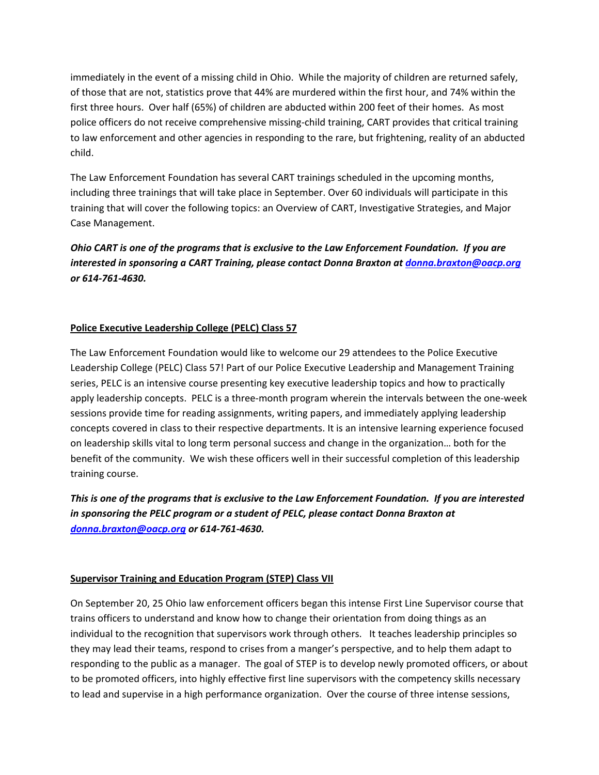immediately in the event of a missing child in Ohio. While the majority of children are returned safely, of those that are not, statistics prove that 44% are murdered within the first hour, and 74% within the first three hours. Over half (65%) of children are abducted within 200 feet of their homes. As most police officers do not receive comprehensive missing‐child training, CART provides that critical training to law enforcement and other agencies in responding to the rare, but frightening, reality of an abducted child.

The Law Enforcement Foundation has several CART trainings scheduled in the upcoming months, including three trainings that will take place in September. Over 60 individuals will participate in this training that will cover the following topics: an Overview of CART, Investigative Strategies, and Major Case Management.

Ohio CART is one of the programs that is exclusive to the Law Enforcement Foundation. If you are *interested in sponsoring a CART Training, please contact Donna Braxton at [donna.braxton@oacp.org](mailto:donna.braxton@oacp.org) or 614‐761‐4630.*

## **Police Executive Leadership College (PELC) Class 57**

The Law Enforcement Foundation would like to welcome our 29 attendees to the Police Executive Leadership College (PELC) Class 57! Part of our Police Executive Leadership and Management Training series, PELC is an intensive course presenting key executive leadership topics and how to practically apply leadership concepts. PELC is a three-month program wherein the intervals between the one-week sessions provide time for reading assignments, writing papers, and immediately applying leadership concepts covered in class to their respective departments. It is an intensive learning experience focused on leadership skills vital to long term personal success and change in the organization… both for the benefit of the community. We wish these officers well in their successful completion of this leadership training course.

This is one of the programs that is exclusive to the Law Enforcement Foundation. If you are interested *in sponsoring the PELC program or a student of PELC, please contact Donna Braxton at [donna.braxton@oacp.org](mailto:donna.braxton@oacp.org) or 614‐761‐4630.*

#### **Supervisor Training and Education Program (STEP) Class VII**

On September 20, 25 Ohio law enforcement officers began this intense First Line Supervisor course that trains officers to understand and know how to change their orientation from doing things as an individual to the recognition that supervisors work through others. It teaches leadership principles so they may lead their teams, respond to crises from a manger's perspective, and to help them adapt to responding to the public as a manager. The goal of STEP is to develop newly promoted officers, or about to be promoted officers, into highly effective first line supervisors with the competency skills necessary to lead and supervise in a high performance organization. Over the course of three intense sessions,